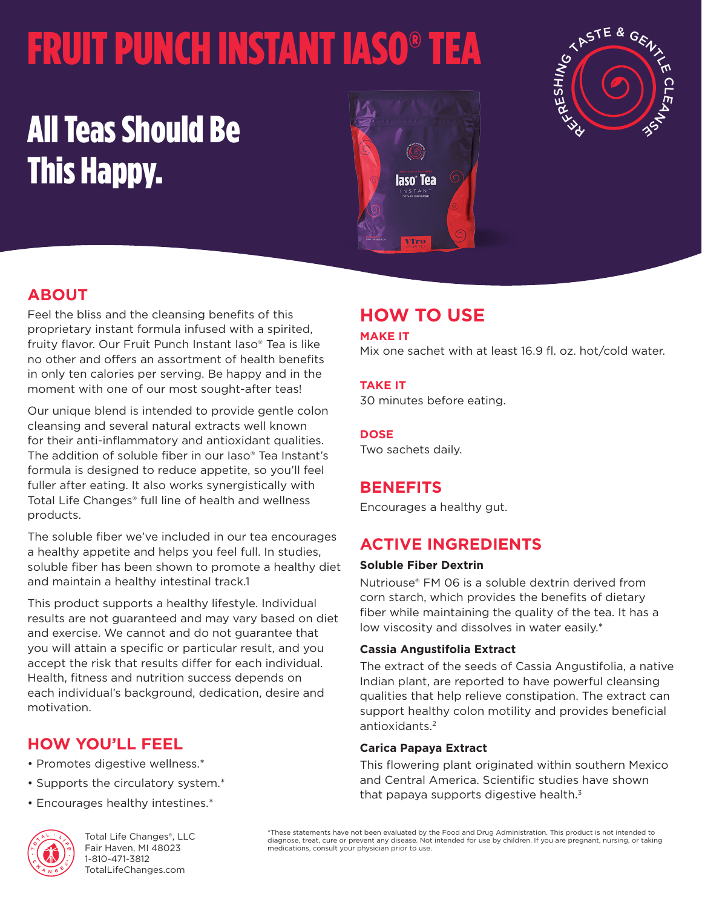# FRUIT PUNCH INSTANT IASO® TEA

## All Teas Should Be This Happy.





## **ABOUT**

Feel the bliss and the cleansing benefits of this proprietary instant formula infused with a spirited, fruity flavor. Our Fruit Punch Instant Iaso® Tea is like no other and offers an assortment of health benefits in only ten calories per serving. Be happy and in the moment with one of our most sought-after teas!

Our unique blend is intended to provide gentle colon cleansing and several natural extracts well known for their anti-inflammatory and antioxidant qualities. The addition of soluble fiber in our Iaso® Tea Instant's formula is designed to reduce appetite, so you'll feel fuller after eating. It also works synergistically with Total Life Changes® full line of health and wellness products.

The soluble fiber we've included in our tea encourages a healthy appetite and helps you feel full. In studies, soluble fiber has been shown to promote a healthy diet and maintain a healthy intestinal track.1

This product supports a healthy lifestyle. Individual results are not guaranteed and may vary based on diet and exercise. We cannot and do not guarantee that you will attain a specific or particular result, and you accept the risk that results differ for each individual. Health, fitness and nutrition success depends on each individual's background, dedication, desire and motivation.

## **HOW YOU'LL FEEL**

- Promotes digestive wellness.\*
- Supports the circulatory system.\*
- Encourages healthy intestines.\*



Total Life Changes®, LLC Fair Haven, MI 48023 1-810-471-3812 TotalLifeChanges.com

## **HOW TO USE**

#### **MAKE IT**

Mix one sachet with at least 16.9 fl. oz. hot/cold water.

#### **TAKE IT**

30 minutes before eating.

#### **DOSE**

Two sachets daily.

### **BENEFITS**

Encourages a healthy gut.

## **ACTIVE INGREDIENTS**

#### **Soluble Fiber Dextrin**

Nutriouse® FM 06 is a soluble dextrin derived from corn starch, which provides the benefits of dietary fiber while maintaining the quality of the tea. It has a low viscosity and dissolves in water easily.\*

#### **Cassia Angustifolia Extract**

The extract of the seeds of Cassia Angustifolia, a native Indian plant, are reported to have powerful cleansing qualities that help relieve constipation. The extract can support healthy colon motility and provides beneficial antioxidants.<sup>2</sup>

#### **Carica Papaya Extract**

This flowering plant originated within southern Mexico and Central America. Scientific studies have shown that papaya supports digestive health. $3$ 

\*These statements have not been evaluated by the Food and Drug Administration. This product is not intended to diagnose, treat, cure or prevent any disease. Not intended for use by children. If you are pregnant, nursing, or taking medications, consult your physician prior to use.